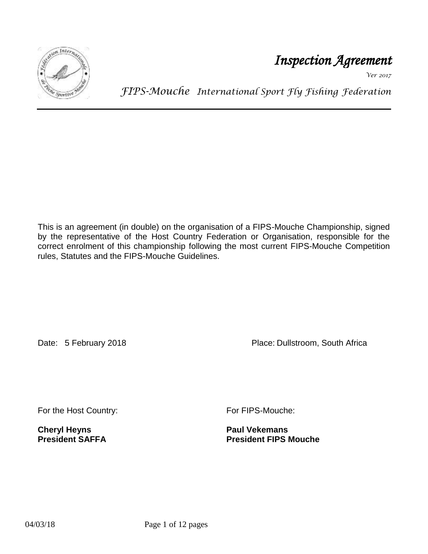

*Inspection Agreement* 

*Ver 2017*

*FIPS-Mouche International Sport Fly Fishing Federation*

This is an agreement (in double) on the organisation of a FIPS-Mouche Championship, signed by the representative of the Host Country Federation or Organisation, responsible for the correct enrolment of this championship following the most current FIPS-Mouche Competition rules, Statutes and the FIPS-Mouche Guidelines.

Date: 5 February 2018 **Place: Dullstroom, South Africa** 

For the Host Country: For FIPS-Mouche:

**Cheryl Heyns Paul Vekemans**

**President FIPS Mouche**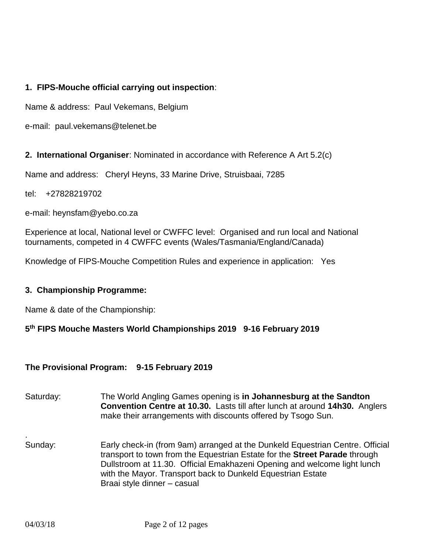# **1. FIPS-Mouche official carrying out inspection**:

Name & address: Paul Vekemans, Belgium

e-mail: paul.vekemans@telenet.be

**2. International Organiser**: Nominated in accordance with Reference A Art 5.2(c)

Name and address: Cheryl Heyns, 33 Marine Drive, Struisbaai, 7285

tel: +27828219702

e-mail: heynsfam@yebo.co.za

Experience at local, National level or CWFFC level: Organised and run local and National tournaments, competed in 4 CWFFC events (Wales/Tasmania/England/Canada)

Knowledge of FIPS-Mouche Competition Rules and experience in application: Yes

#### **3. Championship Programme:**

Name & date of the Championship:

### **5 th FIPS Mouche Masters World Championships 2019 9-16 February 2019**

### **The Provisional Program: 9-15 February 2019**

| Saturday: | The World Angling Games opening is in Johannesburg at the Sandton<br>Convention Centre at 10.30. Lasts till after lunch at around 14h30. Anglers<br>make their arrangements with discounts offered by Tsogo Sun.                                                                                                                             |
|-----------|----------------------------------------------------------------------------------------------------------------------------------------------------------------------------------------------------------------------------------------------------------------------------------------------------------------------------------------------|
| Sunday:   | Early check-in (from 9am) arranged at the Dunkeld Equestrian Centre. Official<br>transport to town from the Equestrian Estate for the <b>Street Parade</b> through<br>Dullstroom at 11.30. Official Emakhazeni Opening and welcome light lunch<br>with the Mayor. Transport back to Dunkeld Equestrian Estate<br>Braai style dinner - casual |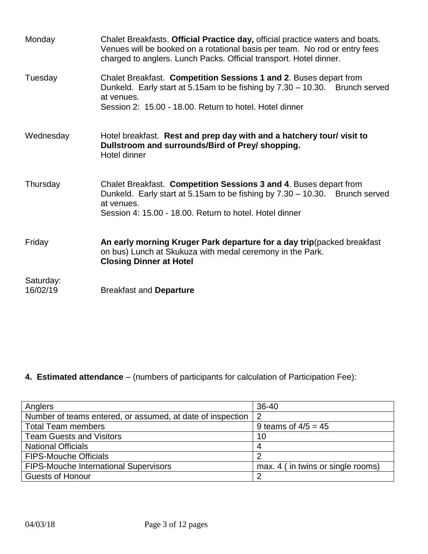| Monday                | Chalet Breakfasts. Official Practice day, official practice waters and boats.<br>Venues will be booked on a rotational basis per team. No rod or entry fees<br>charged to anglers. Lunch Packs. Official transport. Hotel dinner. |
|-----------------------|-----------------------------------------------------------------------------------------------------------------------------------------------------------------------------------------------------------------------------------|
| Tuesday               | Chalet Breakfast. Competition Sessions 1 and 2. Buses depart from<br>Dunkeld. Early start at 5.15am to be fishing by 7.30 - 10.30. Brunch served<br>at venues.<br>Session 2: 15.00 - 18.00. Return to hotel. Hotel dinner         |
| Wednesday             | Hotel breakfast. Rest and prep day with and a hatchery tour/ visit to<br>Dullstroom and surrounds/Bird of Prey/ shopping.<br>Hotel dinner                                                                                         |
| Thursday              | Chalet Breakfast. Competition Sessions 3 and 4. Buses depart from<br>Dunkeld. Early start at 5.15am to be fishing by 7.30 - 10.30. Brunch served<br>at venues.<br>Session 4: 15.00 - 18.00. Return to hotel. Hotel dinner         |
| Friday                | An early morning Kruger Park departure for a day trip (packed breakfast<br>on bus) Lunch at Skukuza with medal ceremony in the Park.<br><b>Closing Dinner at Hotel</b>                                                            |
| Saturday:<br>16/02/19 | <b>Breakfast and Departure</b>                                                                                                                                                                                                    |

# **4. Estimated attendance** – (numbers of participants for calculation of Participation Fee):

| Anglers                                                    | 36-40                             |
|------------------------------------------------------------|-----------------------------------|
| Number of teams entered, or assumed, at date of inspection | -2                                |
| <b>Total Team members</b>                                  | 9 teams of $4/5 = 45$             |
| <b>Team Guests and Visitors</b>                            | 10                                |
| <b>National Officials</b>                                  |                                   |
| <b>FIPS-Mouche Officials</b>                               | റ                                 |
| <b>FIPS-Mouche International Supervisors</b>               | max. 4 (in twins or single rooms) |
| <b>Guests of Honour</b>                                    | ◠                                 |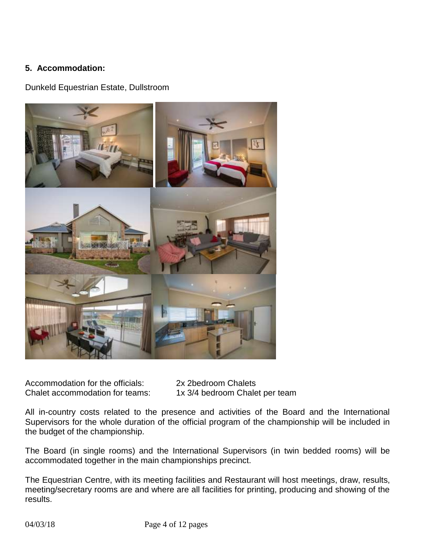# **5. Accommodation:**

Dunkeld Equestrian Estate, Dullstroom



Accommodation for the officials: 2x 2bedroom Chalets<br>Chalet accommodation for teams: 1x 3/4 bedroom Chale

1x 3/4 bedroom Chalet per team

All in-country costs related to the presence and activities of the Board and the International Supervisors for the whole duration of the official program of the championship will be included in the budget of the championship.

The Board (in single rooms) and the International Supervisors (in twin bedded rooms) will be accommodated together in the main championships precinct.

The Equestrian Centre, with its meeting facilities and Restaurant will host meetings, draw, results, meeting/secretary rooms are and where are all facilities for printing, producing and showing of the results.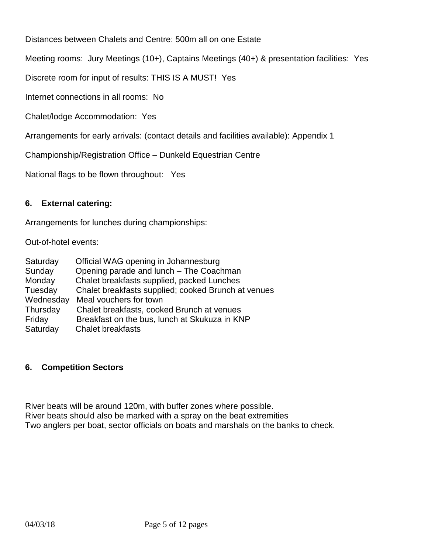Distances between Chalets and Centre: 500m all on one Estate

Meeting rooms: Jury Meetings (10+), Captains Meetings (40+) & presentation facilities: Yes

Discrete room for input of results: THIS IS A MUST! Yes

Internet connections in all rooms: No

Chalet/lodge Accommodation: Yes

Arrangements for early arrivals: (contact details and facilities available): Appendix 1

Championship/Registration Office – Dunkeld Equestrian Centre

National flags to be flown throughout: Yes

### **6. External catering:**

Arrangements for lunches during championships:

Out-of-hotel events:

| Saturday  | Official WAG opening in Johannesburg                |
|-----------|-----------------------------------------------------|
| Sunday    | Opening parade and lunch - The Coachman             |
| Monday    | Chalet breakfasts supplied, packed Lunches          |
| Tuesday   | Chalet breakfasts supplied; cooked Brunch at venues |
| Wednesday | Meal vouchers for town                              |
| Thursday  | Chalet breakfasts, cooked Brunch at venues          |
| Friday    | Breakfast on the bus, lunch at Skukuza in KNP       |
| Saturday  | <b>Chalet breakfasts</b>                            |

### **6. Competition Sectors**

River beats will be around 120m, with buffer zones where possible. River beats should also be marked with a spray on the beat extremities Two anglers per boat, sector officials on boats and marshals on the banks to check.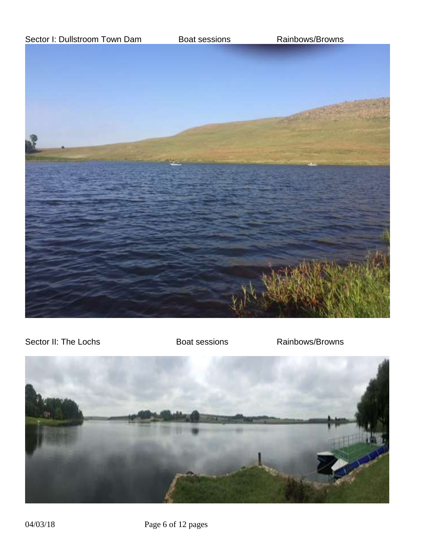

Sector II: The Lochs Boat sessions Rainbows/Browns

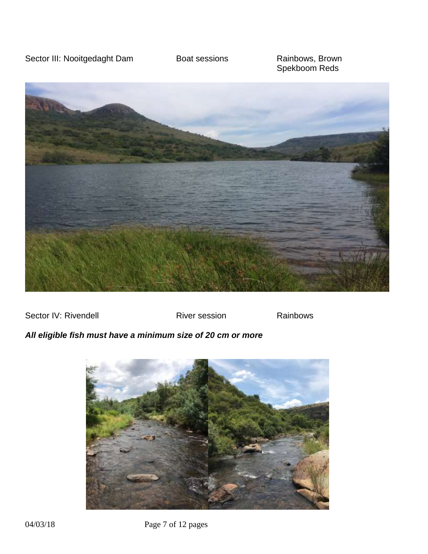Sector III: Nooitgedaght Dam Boat sessions Rainbows, Brown

Spekboom Reds



Sector IV: Rivendell **River session** River session Rainbows

# *All eligible fish must have a minimum size of 20 cm or more*

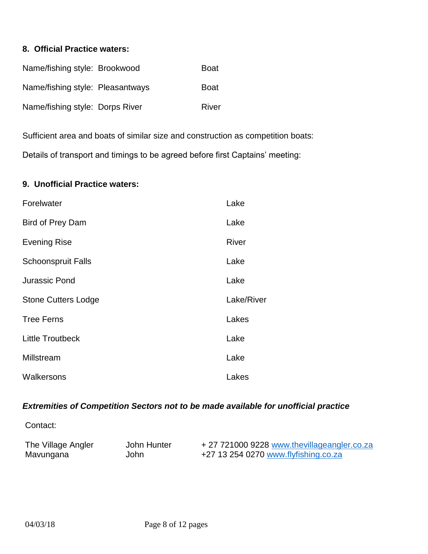### **8. Official Practice waters:**

| Name/fishing style: Brookwood    | Boat        |
|----------------------------------|-------------|
| Name/fishing style: Pleasantways | <b>Boat</b> |
| Name/fishing style: Dorps River  | River       |

Sufficient area and boats of similar size and construction as competition boats: Details of transport and timings to be agreed before first Captains' meeting:

#### **9. Unofficial Practice waters:**

| Forelwater                 | Lake         |
|----------------------------|--------------|
| Bird of Prey Dam           | Lake         |
| <b>Evening Rise</b>        | <b>River</b> |
| <b>Schoonspruit Falls</b>  | Lake         |
| <b>Jurassic Pond</b>       | Lake         |
| <b>Stone Cutters Lodge</b> | Lake/River   |
| <b>Tree Ferns</b>          | Lakes        |
| <b>Little Troutbeck</b>    | Lake         |
| Millstream                 | Lake         |
| Walkersons                 | Lakes        |

# *Extremities of Competition Sectors not to be made available for unofficial practice*

Contact:

| The Village Angler | John Hunter | +27 721000 9228 www.thevillageangler.co.za |
|--------------------|-------------|--------------------------------------------|
| Mavungana          | John        | +27 13 254 0270 www.flyfishing.co.za       |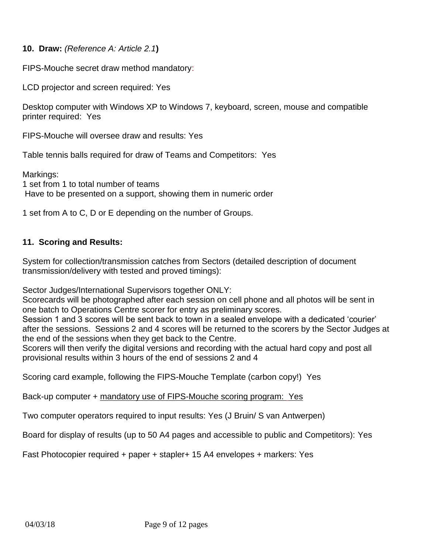**10. Draw:** *(Reference A: Article 2.1***)**

FIPS-Mouche secret draw method mandatory:

LCD projector and screen required: Yes

Desktop computer with Windows XP to Windows 7, keyboard, screen, mouse and compatible printer required: Yes

FIPS-Mouche will oversee draw and results: Yes

Table tennis balls required for draw of Teams and Competitors: Yes

Markings: 1 set from 1 to total number of teams Have to be presented on a support, showing them in numeric order

1 set from A to C, D or E depending on the number of Groups.

# **11. Scoring and Results:**

System for collection/transmission catches from Sectors (detailed description of document transmission/delivery with tested and proved timings):

Sector Judges/International Supervisors together ONLY:

Scorecards will be photographed after each session on cell phone and all photos will be sent in one batch to Operations Centre scorer for entry as preliminary scores.

Session 1 and 3 scores will be sent back to town in a sealed envelope with a dedicated 'courier' after the sessions. Sessions 2 and 4 scores will be returned to the scorers by the Sector Judges at the end of the sessions when they get back to the Centre.

Scorers will then verify the digital versions and recording with the actual hard copy and post all provisional results within 3 hours of the end of sessions 2 and 4

Scoring card example, following the FIPS-Mouche Template (carbon copy!) Yes

Back-up computer + mandatory use of FIPS-Mouche scoring program: Yes

Two computer operators required to input results: Yes (J Bruin/ S van Antwerpen)

Board for display of results (up to 50 A4 pages and accessible to public and Competitors): Yes

Fast Photocopier required + paper + stapler+ 15 A4 envelopes + markers: Yes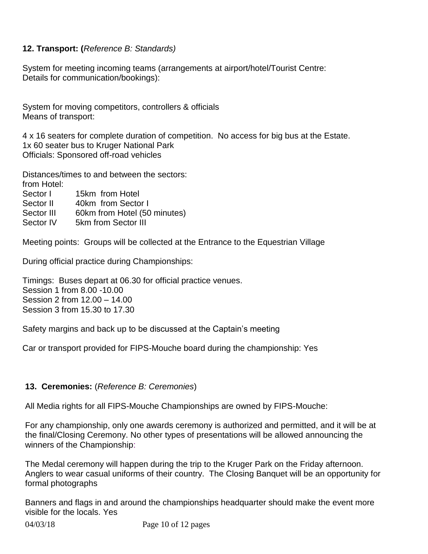# **12. Transport: (***Reference B: Standards)*

System for meeting incoming teams (arrangements at airport/hotel/Tourist Centre: Details for communication/bookings):

System for moving competitors, controllers & officials Means of transport:

4 x 16 seaters for complete duration of competition. No access for big bus at the Estate. 1x 60 seater bus to Kruger National Park Officials: Sponsored off-road vehicles

Distances/times to and between the sectors: from Hotel:

Sector I 15km from Hotel Sector II 40km from Sector I Sector III 60km from Hotel (50 minutes)

Sector IV 5km from Sector III

Meeting points: Groups will be collected at the Entrance to the Equestrian Village

During official practice during Championships:

Timings: Buses depart at 06.30 for official practice venues. Session 1 from 8.00 -10.00 Session 2 from 12.00 – 14.00 Session 3 from 15.30 to 17.30

Safety margins and back up to be discussed at the Captain's meeting

Car or transport provided for FIPS-Mouche board during the championship: Yes

# **13. Ceremonies:** (*Reference B: Ceremonies*)

All Media rights for all FIPS-Mouche Championships are owned by FIPS-Mouche:

For any championship, only one awards ceremony is authorized and permitted, and it will be at the final/Closing Ceremony. No other types of presentations will be allowed announcing the winners of the Championship:

The Medal ceremony will happen during the trip to the Kruger Park on the Friday afternoon. Anglers to wear casual uniforms of their country. The Closing Banquet will be an opportunity for formal photographs

Banners and flags in and around the championships headquarter should make the event more visible for the locals. Yes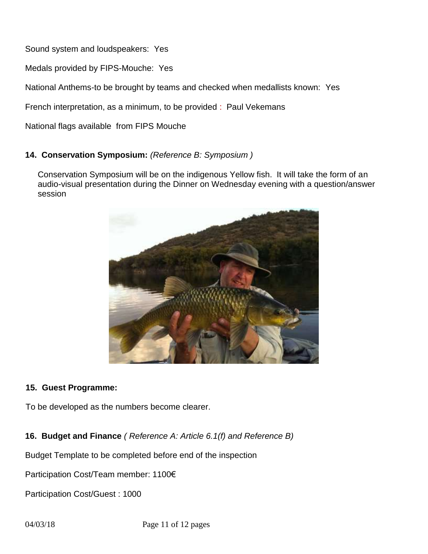Sound system and loudspeakers: Yes

Medals provided by FIPS-Mouche: Yes

National Anthems-to be brought by teams and checked when medallists known: Yes

French interpretation, as a minimum, to be provided : Paul Vekemans

National flags available from FIPS Mouche

# **14. Conservation Symposium:** *(Reference B: Symposium )*

Conservation Symposium will be on the indigenous Yellow fish. It will take the form of an audio-visual presentation during the Dinner on Wednesday evening with a question/answer session



### **15. Guest Programme:**

To be developed as the numbers become clearer.

**16. Budget and Finance** *( Reference A: Article 6.1(f) and Reference B)*

Budget Template to be completed before end of the inspection

Participation Cost/Team member: 1100€

Participation Cost/Guest : 1000